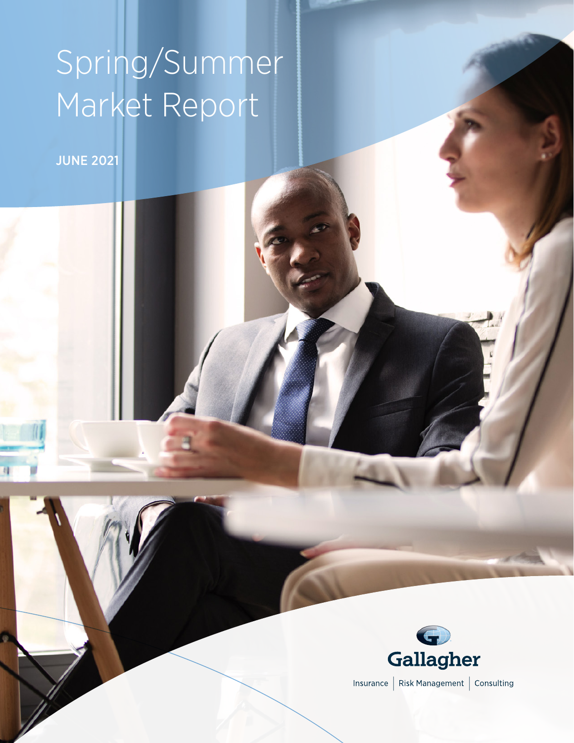# Spring/Summer Market Report

JUNE 2021

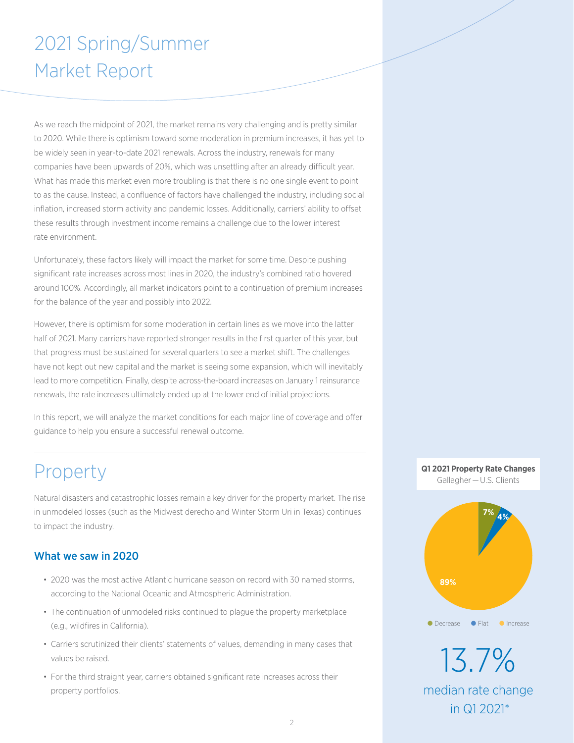# 2021 Spring/Summer Market Report

As we reach the midpoint of 2021, the market remains very challenging and is pretty similar to 2020. While there is optimism toward some moderation in premium increases, it has yet to be widely seen in year-to-date 2021 renewals. Across the industry, renewals for many companies have been upwards of 20%, which was unsettling after an already difficult year. What has made this market even more troubling is that there is no one single event to point to as the cause. Instead, a confluence of factors have challenged the industry, including social inflation, increased storm activity and pandemic losses. Additionally, carriers' ability to offset these results through investment income remains a challenge due to the lower interest rate environment.

Unfortunately, these factors likely will impact the market for some time. Despite pushing significant rate increases across most lines in 2020, the industry's combined ratio hovered around 100%. Accordingly, all market indicators point to a continuation of premium increases for the balance of the year and possibly into 2022.

However, there is optimism for some moderation in certain lines as we move into the latter half of 2021. Many carriers have reported stronger results in the first quarter of this year, but that progress must be sustained for several quarters to see a market shift. The challenges have not kept out new capital and the market is seeing some expansion, which will inevitably lead to more competition. Finally, despite across-the-board increases on January 1 reinsurance renewals, the rate increases ultimately ended up at the lower end of initial projections.

In this report, we will analyze the market conditions for each major line of coverage and offer guidance to help you ensure a successful renewal outcome.

# Property

Natural disasters and catastrophic losses remain a key driver for the property market. The rise in unmodeled losses (such as the Midwest derecho and Winter Storm Uri in Texas) continues to impact the industry.

# What we saw in 2020

- 2020 was the most active Atlantic hurricane season on record with 30 named storms, according to the National Oceanic and Atmospheric Administration.
- The continuation of unmodeled risks continued to plague the property marketplace (e.g., wildfires in California).
- Carriers scrutinized their clients' statements of values, demanding in many cases that values be raised.
- For the third straight year, carriers obtained significant rate increases across their property portfolios.

### **Q1 2021 Property Rate Changes** Gallagher — U.S. Clients



13.7% median rate change in Q1 2021\*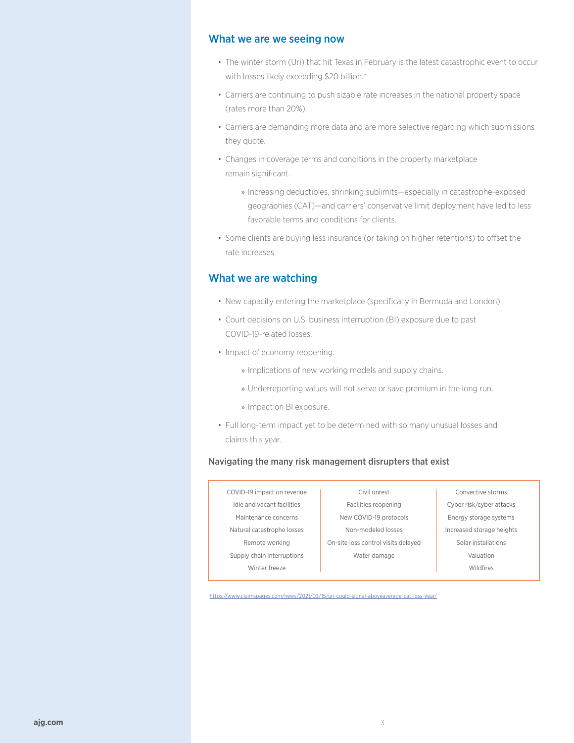### What we are we seeing now

- The winter storm (Uri) that hit Texas in February is the latest catastrophic event to occur with losses likely exceeding \$20 billion.\*
- Carriers are continuing to push sizable rate increases in the national property space (rates more than 20%).
- Carriers are demanding more data and are more selective regarding which submissions they quote.
- Changes in coverage terms and conditions in the property marketplace remain significant.
	- » Increasing deductibles, shrinking sublimits—especially in catastrophe-exposed geographies (CAT)—and carriers' conservative limit deployment have led to less favorable terms and conditions for clients.
- Some clients are buying less insurance (or taking on higher retentions) to offset the rate increases.

### What we are watching

- New capacity entering the marketplace (specifically in Bermuda and London).
- Court decisions on U.S. business interruption (BI) exposure due to past COVID-19-related losses.
- Impact of economy reopening.
	- » Implications of new working models and supply chains.
	- » Underreporting values will not serve or save premium in the long run.
	- » Impact on BI exposure.
- Full long-term impact yet to be determined with so many unusual losses and claims this year.

#### Navigating the many risk management disrupters that exist

| COVID-19 impact on revenue | Civil unrest                        | Convective storms         |
|----------------------------|-------------------------------------|---------------------------|
| Idle and vacant facilities | Facilities reopening                | Cyber risk/cyber attacks  |
| Maintenance concerns       | New COVID-19 protocols              | Energy storage systems    |
| Natural catastrophe losses | Non-modeled losses                  | Increased storage heights |
| Remote working             | On-site loss control visits delayed | Solar installations       |
| Supply chain interruptions | Water damage                        | Valuation                 |
| Winter freeze              |                                     | <b>Wildfires</b>          |
|                            |                                     |                           |

\* <https://www.claimspages.com/news/2021/03/15/uri-could-signal-aboveaverage-cat-loss-year/>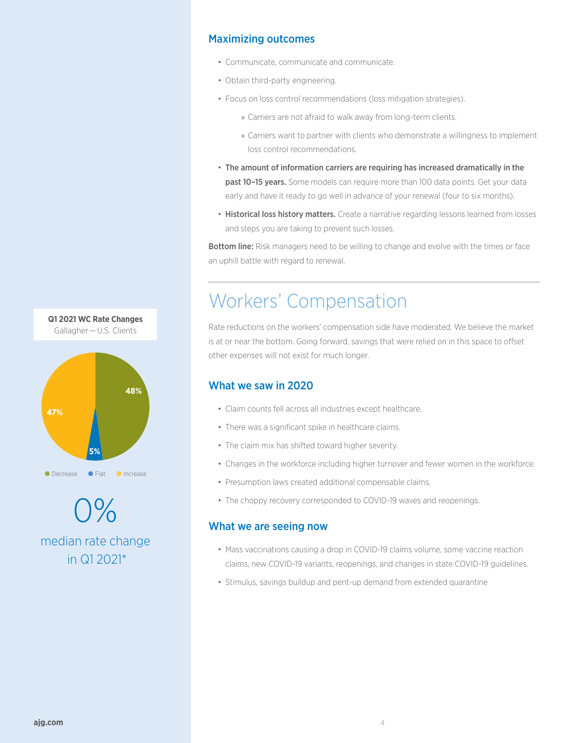# Maximizing outcomes

- Communicate, communicate and communicate.
- Obtain third-party engineering.
- Focus on loss control recommendations (loss mitigation strategies).
	- » Carriers are not afraid to walk away from long-term clients.
	- » Carriers want to partner with clients who demonstrate a willingness to implement loss control recommendations.
- The amount of information carriers are requiring has increased dramatically in the past 10-15 years. Some models can require more than 100 data points. Get your data early and have it ready to go well in advance of your renewal (four to six months).
- Historical loss history matters. Create a narrative regarding lessons learned from losses and steps you are taking to prevent such losses.

Bottom line: Risk managers need to be willing to change and evolve with the times or face an uphill battle with regard to renewal.

# Workers' Compensation

Rate reductions on the workers' compensation side have moderated. We believe the market is at or near the bottom. Going forward, savings that were relied on in this space to offset other expenses will not exist for much longer.

# What we saw in 2020

- Claim counts fell across all industries except healthcare.
- There was a significant spike in healthcare claims.
- The claim mix has shifted toward higher severity.
- Changes in the workforce including higher turnover and fewer women in the workforce.
- Presumption laws created additional compensable claims.
- The choppy recovery corresponded to COVID-19 waves and reopenings.

### What we are seeing now

- Mass vaccinations causing a drop in COVID-19 claims volume, some vaccine reaction claims, new COVID-19 variants, reopenings, and changes in state COVID-19 guidelines.
- Stimulus, savings buildup and pent-up demand from extended quarantine



0% median rate change in Q1 2021\*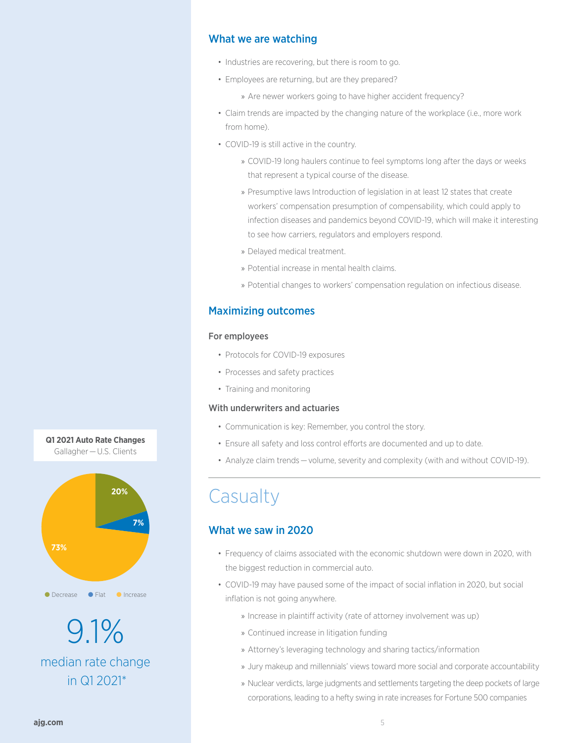### What we are watching

- Industries are recovering, but there is room to go.
- Employees are returning, but are they prepared?
	- » Are newer workers going to have higher accident frequency?
- Claim trends are impacted by the changing nature of the workplace (i.e., more work from home).
- COVID-19 is still active in the country.
	- » COVID-19 long haulers continue to feel symptoms long after the days or weeks that represent a typical course of the disease.
	- » Presumptive laws Introduction of legislation in at least 12 states that create workers' compensation presumption of compensability, which could apply to infection diseases and pandemics beyond COVID-19, which will make it interesting to see how carriers, regulators and employers respond.
	- » Delayed medical treatment.
	- » Potential increase in mental health claims.
	- » Potential changes to workers' compensation regulation on infectious disease.

### Maximizing outcomes

#### For employees

- Protocols for COVID-19 exposures
- Processes and safety practices
- Training and monitoring

#### With underwriters and actuaries

- Communication is key: Remember, you control the story.
- Ensure all safety and loss control efforts are documented and up to date.
- Analyze claim trends — volume, severity and complexity (with and without COVID-19).

# **Casualty**

### What we saw in 2020

- Frequency of claims associated with the economic shutdown were down in 2020, with the biggest reduction in commercial auto.
- COVID-19 may have paused some of the impact of social inflation in 2020, but social inflation is not going anywhere.
	- » Increase in plaintiff activity (rate of attorney involvement was up)
	- » Continued increase in litigation funding
	- » Attorney's leveraging technology and sharing tactics/information
	- » Jury makeup and millennials' views toward more social and corporate accountability
	- » Nuclear verdicts, large judgments and settlements targeting the deep pockets of large corporations, leading to a hefty swing in rate increases for Fortune 500 companies



9.1% median rate change in Q1 2021\*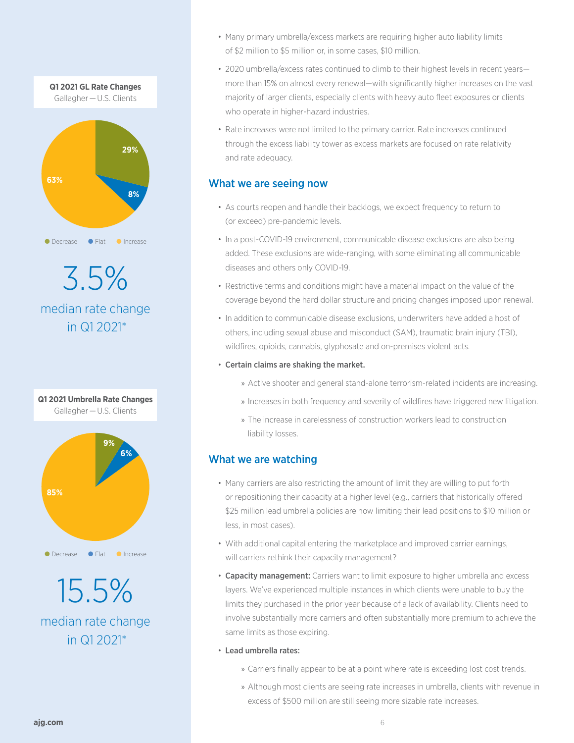

3.5% median rate change in Q1 2021\*



median rate change in Q1 2021\*

- Many primary umbrella/excess markets are requiring higher auto liability limits of \$2 million to \$5 million or, in some cases, \$10 million.
- 2020 umbrella/excess rates continued to climb to their highest levels in recent yearsmore than 15% on almost every renewal—with significantly higher increases on the vast majority of larger clients, especially clients with heavy auto fleet exposures or clients who operate in higher-hazard industries.
- Rate increases were not limited to the primary carrier. Rate increases continued through the excess liability tower as excess markets are focused on rate relativity and rate adequacy.

## What we are seeing now

- As courts reopen and handle their backlogs, we expect frequency to return to (or exceed) pre-pandemic levels.
- In a post-COVID-19 environment, communicable disease exclusions are also being added. These exclusions are wide-ranging, with some eliminating all communicable diseases and others only COVID-19.
- Restrictive terms and conditions might have a material impact on the value of the coverage beyond the hard dollar structure and pricing changes imposed upon renewal.
- In addition to communicable disease exclusions, underwriters have added a host of others, including sexual abuse and misconduct (SAM), traumatic brain injury (TBI), wildfires, opioids, cannabis, glyphosate and on-premises violent acts.
- Certain claims are shaking the market.
	- » Active shooter and general stand-alone terrorism-related incidents are increasing.
	- » Increases in both frequency and severity of wildfires have triggered new litigation.
	- » The increase in carelessness of construction workers lead to construction liability losses.

# What we are watching

- Many carriers are also restricting the amount of limit they are willing to put forth or repositioning their capacity at a higher level (e.g., carriers that historically offered \$25 million lead umbrella policies are now limiting their lead positions to \$10 million or less, in most cases).
- With additional capital entering the marketplace and improved carrier earnings, will carriers rethink their capacity management?
- Capacity management: Carriers want to limit exposure to higher umbrella and excess layers. We've experienced multiple instances in which clients were unable to buy the limits they purchased in the prior year because of a lack of availability. Clients need to involve substantially more carriers and often substantially more premium to achieve the same limits as those expiring.
- Lead umbrella rates:
	- » Carriers finally appear to be at a point where rate is exceeding lost cost trends.
	- » Although most clients are seeing rate increases in umbrella, clients with revenue in excess of \$500 million are still seeing more sizable rate increases.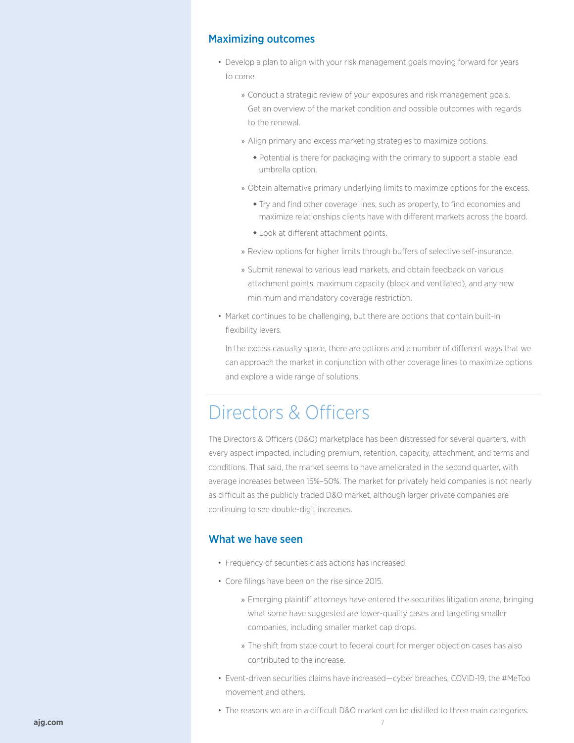### Maximizing outcomes

- Develop a plan to align with your risk management goals moving forward for years to come.
	- » Conduct a strategic review of your exposures and risk management goals. Get an overview of the market condition and possible outcomes with regards to the renewal.
	- » Align primary and excess marketing strategies to maximize options.
		- Potential is there for packaging with the primary to support a stable lead umbrella option.
	- » Obtain alternative primary underlying limits to maximize options for the excess.
		- Try and find other coverage lines, such as property, to find economies and maximize relationships clients have with different markets across the board.
		- Look at different attachment points.
	- » Review options for higher limits through buffers of selective self-insurance.
	- » Submit renewal to various lead markets, and obtain feedback on various attachment points, maximum capacity (block and ventilated), and any new minimum and mandatory coverage restriction.
- Market continues to be challenging, but there are options that contain built-in flexibility levers.

In the excess casualty space, there are options and a number of different ways that we can approach the market in conjunction with other coverage lines to maximize options and explore a wide range of solutions.

# Directors & Officers

The Directors & Officers (D&O) marketplace has been distressed for several quarters, with every aspect impacted, including premium, retention, capacity, attachment, and terms and conditions. That said, the market seems to have ameliorated in the second quarter, with average increases between 15%–50%. The market for privately held companies is not nearly as difficult as the publicly traded D&O market, although larger private companies are continuing to see double-digit increases.

### What we have seen

- Frequency of securities class actions has increased.
- Core filings have been on the rise since 2015.
	- » Emerging plaintiff attorneys have entered the securities litigation arena, bringing what some have suggested are lower-quality cases and targeting smaller companies, including smaller market cap drops.
	- » The shift from state court to federal court for merger objection cases has also contributed to the increase.
- Event-driven securities claims have increased—cyber breaches, COVID-19, the #MeToo movement and others.
- The reasons we are in a difficult D&O market can be distilled to three main categories.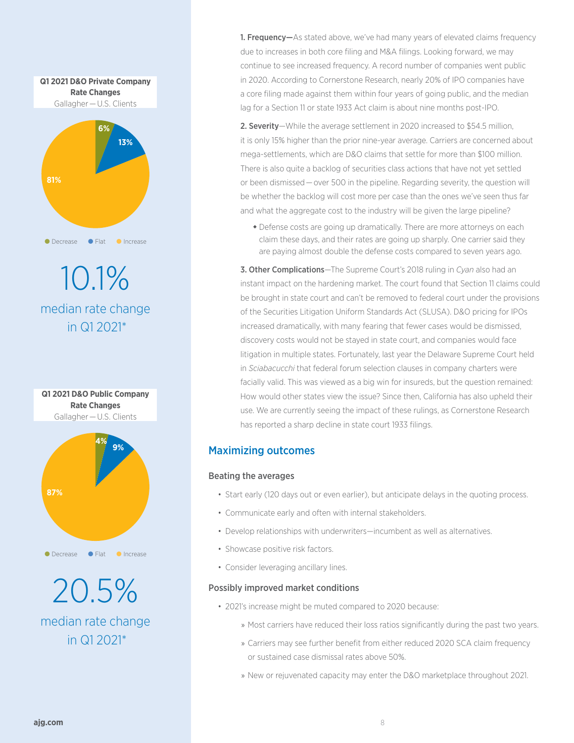

10.1% median rate change in Q1 2021\*



20.5% median rate change in Q1 2021\*

**1. Frequency**—As stated above, we've had many years of elevated claims frequency due to increases in both core filing and M&A filings. Looking forward, we may continue to see increased frequency. A record number of companies went public in 2020. According to Cornerstone Research, nearly 20% of IPO companies have a core filing made against them within four years of going public, and the median lag for a Section 11 or state 1933 Act claim is about nine months post-IPO.

2. Severity-While the average settlement in 2020 increased to \$54.5 million, it is only 15% higher than the prior nine-year average. Carriers are concerned about mega-settlements, which are D&O claims that settle for more than \$100 million. There is also quite a backlog of securities class actions that have not yet settled or been dismissed — over 500 in the pipeline. Regarding severity, the question will be whether the backlog will cost more per case than the ones we've seen thus far and what the aggregate cost to the industry will be given the large pipeline?

 Defense costs are going up dramatically. There are more attorneys on each claim these days, and their rates are going up sharply. One carrier said they are paying almost double the defense costs compared to seven years ago.

3. Other Complications—The Supreme Court's 2018 ruling in *Cyan* also had an instant impact on the hardening market. The court found that Section 11 claims could be brought in state court and can't be removed to federal court under the provisions of the Securities Litigation Uniform Standards Act (SLUSA). D&O pricing for IPOs increased dramatically, with many fearing that fewer cases would be dismissed, discovery costs would not be stayed in state court, and companies would face litigation in multiple states. Fortunately, last year the Delaware Supreme Court held in *Sciabacucchi* that federal forum selection clauses in company charters were facially valid. This was viewed as a big win for insureds, but the question remained: How would other states view the issue? Since then, California has also upheld their use. We are currently seeing the impact of these rulings, as Cornerstone Research has reported a sharp decline in state court 1933 filings.

# Maximizing outcomes

### Beating the averages

- Start early (120 days out or even earlier), but anticipate delays in the quoting process.
- Communicate early and often with internal stakeholders.
- Develop relationships with underwriters—incumbent as well as alternatives.
- Showcase positive risk factors.
- Consider leveraging ancillary lines.

### Possibly improved market conditions

- 2021's increase might be muted compared to 2020 because:
	- » Most carriers have reduced their loss ratios significantly during the past two years.
	- » Carriers may see further benefit from either reduced 2020 SCA claim frequency or sustained case dismissal rates above 50%.
	- » New or rejuvenated capacity may enter the D&O marketplace throughout 2021.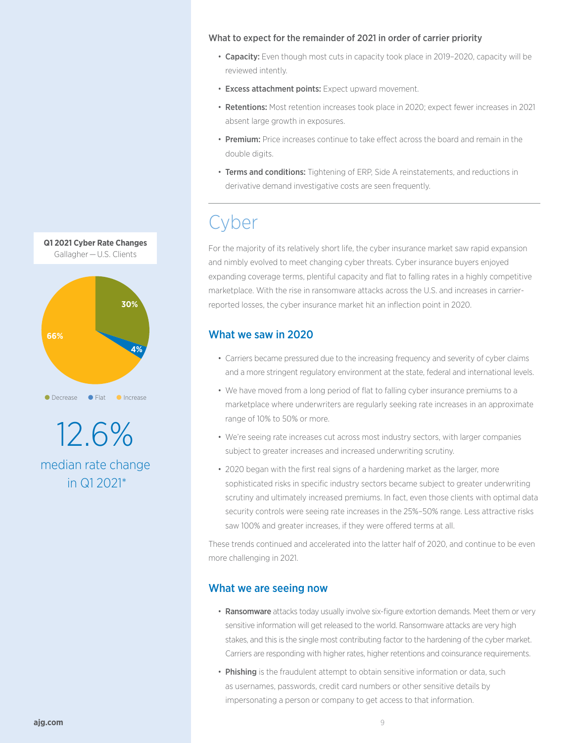#### What to expect for the remainder of 2021 in order of carrier priority

- Capacity: Even though most cuts in capacity took place in 2019-2020, capacity will be reviewed intently.
- Excess attachment points: Expect upward movement.
- Retentions: Most retention increases took place in 2020; expect fewer increases in 2021 absent large growth in exposures.
- Premium: Price increases continue to take effect across the board and remain in the double digits.
- Terms and conditions: Tightening of ERP, Side A reinstatements, and reductions in derivative demand investigative costs are seen frequently.

# Cyber

For the majority of its relatively short life, the cyber insurance market saw rapid expansion and nimbly evolved to meet changing cyber threats. Cyber insurance buyers enjoyed expanding coverage terms, plentiful capacity and flat to falling rates in a highly competitive marketplace. With the rise in ransomware attacks across the U.S. and increases in carrierreported losses, the cyber insurance market hit an inflection point in 2020.

### What we saw in 2020

- Carriers became pressured due to the increasing frequency and severity of cyber claims and a more stringent regulatory environment at the state, federal and international levels.
- We have moved from a long period of flat to falling cyber insurance premiums to a marketplace where underwriters are regularly seeking rate increases in an approximate range of 10% to 50% or more.
- We're seeing rate increases cut across most industry sectors, with larger companies subject to greater increases and increased underwriting scrutiny.
- 2020 began with the first real signs of a hardening market as the larger, more sophisticated risks in specific industry sectors became subject to greater underwriting scrutiny and ultimately increased premiums. In fact, even those clients with optimal data security controls were seeing rate increases in the 25%–50% range. Less attractive risks saw 100% and greater increases, if they were offered terms at all.

These trends continued and accelerated into the latter half of 2020, and continue to be even more challenging in 2021.

### What we are seeing now

- Ransomware attacks today usually involve six-figure extortion demands. Meet them or very sensitive information will get released to the world. Ransomware attacks are very high stakes, and this is the single most contributing factor to the hardening of the cyber market. Carriers are responding with higher rates, higher retentions and coinsurance requirements.
- Phishing is the fraudulent attempt to obtain sensitive information or data, such as usernames, passwords, credit card numbers or other sensitive details by impersonating a person or company to get access to that information.



12.6% median rate change in Q1 2021\*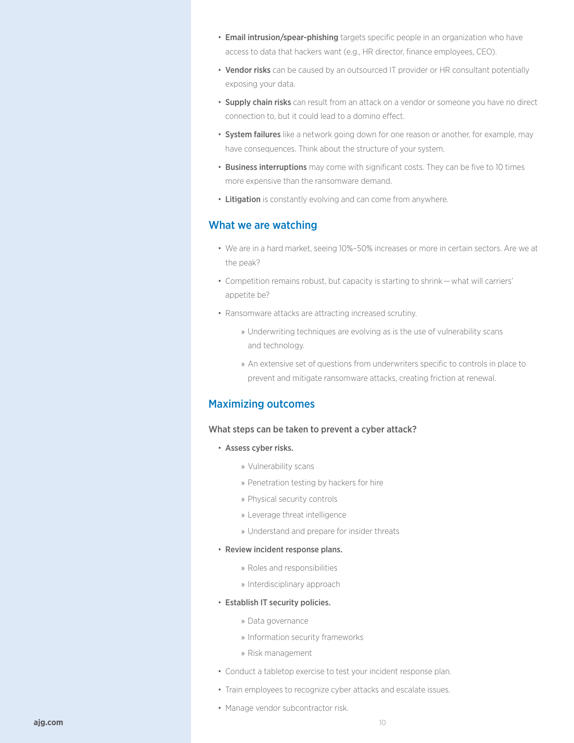- Email intrusion/spear-phishing targets specific people in an organization who have access to data that hackers want (e.g., HR director, finance employees, CEO).
- Vendor risks can be caused by an outsourced IT provider or HR consultant potentially exposing your data.
- Supply chain risks can result from an attack on a vendor or someone you have no direct connection to, but it could lead to a domino effect.
- System failures like a network going down for one reason or another, for example, may have consequences. Think about the structure of your system.
- Business interruptions may come with significant costs. They can be five to 10 times more expensive than the ransomware demand.
- Litigation is constantly evolving and can come from anywhere.

### What we are watching

- We are in a hard market, seeing 10%–50% increases or more in certain sectors. Are we at the peak?
- Competition remains robust, but capacity is starting to shrink — what will carriers' appetite be?
- Ransomware attacks are attracting increased scrutiny.
	- » Underwriting techniques are evolving as is the use of vulnerability scans and technology.
	- » An extensive set of questions from underwriters specific to controls in place to prevent and mitigate ransomware attacks, creating friction at renewal.

### Maximizing outcomes

#### What steps can be taken to prevent a cyber attack?

- Assess cyber risks.
	- » Vulnerability scans
	- » Penetration testing by hackers for hire
	- » Physical security controls
	- » Leverage threat intelligence
	- » Understand and prepare for insider threats
- Review incident response plans.
	- » Roles and responsibilities
	- » Interdisciplinary approach
- Establish IT security policies.
	- » Data governance
	- » Information security frameworks
	- » Risk management
- Conduct a tabletop exercise to test your incident response plan.
- Train employees to recognize cyber attacks and escalate issues.
- Manage vendor subcontractor risk.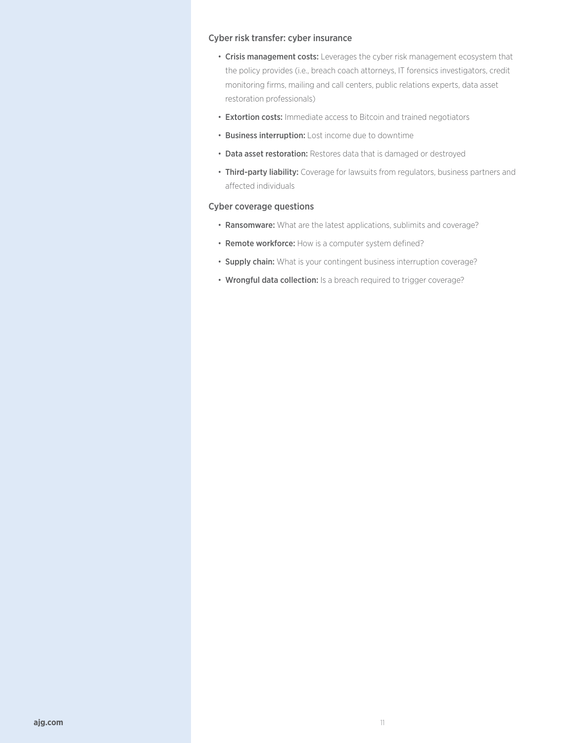#### Cyber risk transfer: cyber insurance

- Crisis management costs: Leverages the cyber risk management ecosystem that the policy provides (i.e., breach coach attorneys, IT forensics investigators, credit monitoring firms, mailing and call centers, public relations experts, data asset restoration professionals)
- Extortion costs: Immediate access to Bitcoin and trained negotiators
- Business interruption: Lost income due to downtime
- Data asset restoration: Restores data that is damaged or destroyed
- Third-party liability: Coverage for lawsuits from regulators, business partners and affected individuals

### Cyber coverage questions

- Ransomware: What are the latest applications, sublimits and coverage?
- Remote workforce: How is a computer system defined?
- Supply chain: What is your contingent business interruption coverage?
- Wrongful data collection: Is a breach required to trigger coverage?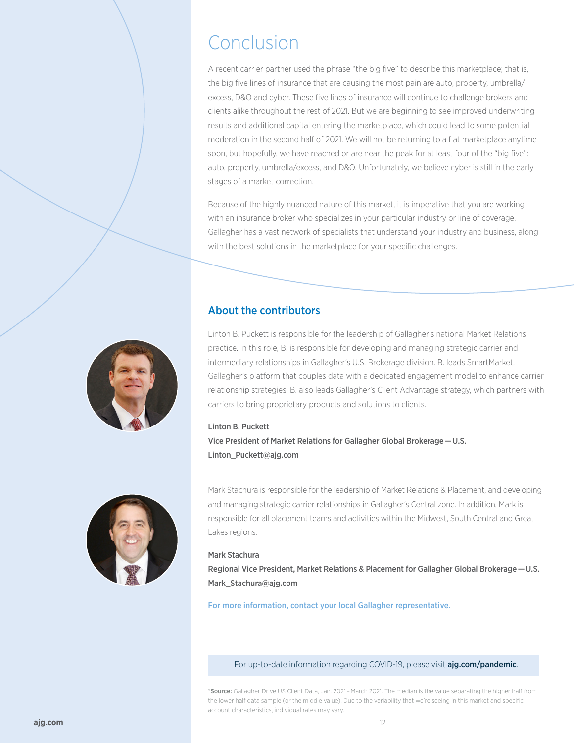# Conclusion

A recent carrier partner used the phrase "the big five" to describe this marketplace; that is, the big five lines of insurance that are causing the most pain are auto, property, umbrella/ excess, D&O and cyber. These five lines of insurance will continue to challenge brokers and clients alike throughout the rest of 2021. But we are beginning to see improved underwriting results and additional capital entering the marketplace, which could lead to some potential moderation in the second half of 2021. We will not be returning to a flat marketplace anytime soon, but hopefully, we have reached or are near the peak for at least four of the "big five": auto, property, umbrella/excess, and D&O. Unfortunately, we believe cyber is still in the early stages of a market correction.

Because of the highly nuanced nature of this market, it is imperative that you are working with an insurance broker who specializes in your particular industry or line of coverage. Gallagher has a vast network of specialists that understand your industry and business, along with the best solutions in the marketplace for your specific challenges.

# About the contributors



Linton B. Puckett is responsible for the leadership of Gallagher's national Market Relations practice. In this role, B. is responsible for developing and managing strategic carrier and intermediary relationships in Gallagher's U.S. Brokerage division. B. leads SmartMarket, Gallagher's platform that couples data with a dedicated engagement model to enhance carrier relationship strategies. B. also leads Gallagher's Client Advantage strategy, which partners with carriers to bring proprietary products and solutions to clients.

#### Linton B. Puckett

Vice President of Market Relations for Gallagher Global Brokerage — U.S. [Linton\\_Puckett@ajg.com](mailto:Linton_Puckett%40ajg.com?subject=)



Mark Stachura is responsible for the leadership of Market Relations & Placement, and developing and managing strategic carrier relationships in Gallagher's Central zone. In addition, Mark is responsible for all placement teams and activities within the Midwest, South Central and Great Lakes regions.

#### Mark Stachura

Regional Vice President, Market Relations & Placement for Gallagher Global Brokerage — U.S. [Mark\\_Stachura@ajg.com](mailto:Mark_Stachura%40ajg.com?subject=)

For more information, contact your local Gallagher representative.

For up-to-date information regarding COVID-19, please visit [ajg.com/pandemic](https://www.ajg.com/us/coronavirus-covid-19-pandemic/).

\*Source: Gallagher Drive US Client Data, Jan. 2021 – March 2021. The median is the value separating the higher half from the lower half data sample (or the middle value). Due to the variability that we're seeing in this market and specific account characteristics, individual rates may vary.